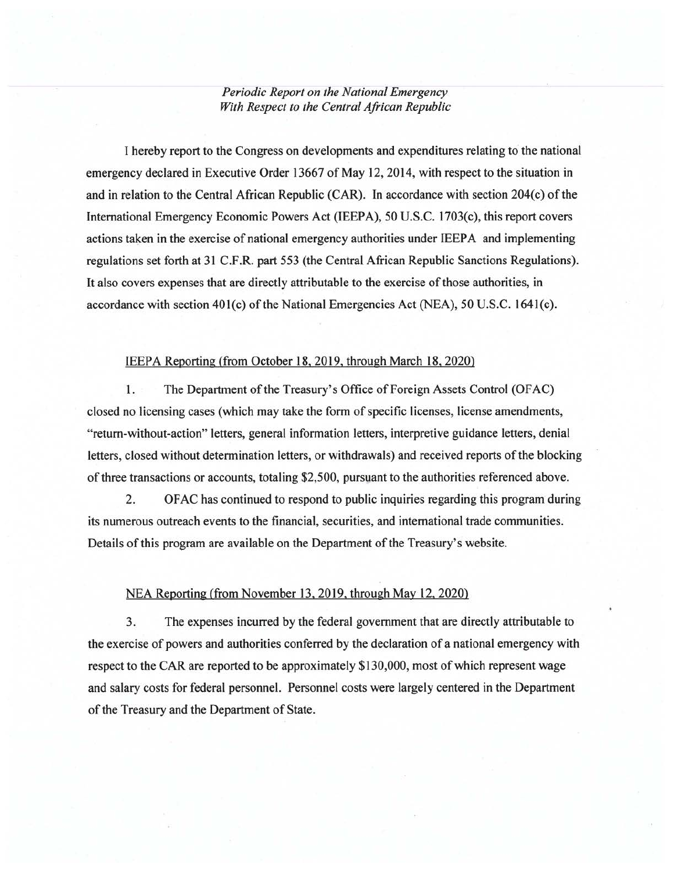*Periodic Report on the National Emergency With Respect to the Central African Republic* 

I hereby report to the Congress on developments and expenditures relating to the national emergency declared in Executive Order 13667 of May 12,2014, with respect to the situation in and in relation to the Central African Republic (CAR). In accordance with section 204(c) of the International Emergency Economic Powers Act (IEEPA), 50 U.S.C. 1703(c), this report covers actions taken in the exercise of national emergency authorities under IEEPA and implementing regulations set forth at 31 C.F.R. part 553 (the Central African Republic Sanctions Regulations). It also covers expenses that are directly attributable to the exercise of those authorities, in accordance with section 40l(c) of the National Emergencies Act (NEA), 50 U.S.C. l64l(c).

## IEEPA Reporting (from October 18.2019. through March 18. 2020)

1. The Department of the Treasury's Office of Foreign Assets Control (OFAC) closed no licensing cases (which may take the form of specific licenses, license amendments, "return-without-action" letters, general information letters, interpretive guidance letters, denial letters, closed without determination letters, or withdrawals) and received reports of the blocking of three transactions or accounts, totaling \$2,500, pursuant to the authorities referenced above.

2. OF AC has continued to respond to public inquiries regarding this program during its numerous outreach events to the financial, securities, and international trade communities. Details of this program are available on the Department of the Treasury's website.

## NEA Reporting (from November 13,2019, through May 12, 2020)

3. The expenses incurred by the federal government that are directly attributable to the exercise of powers and authorities conferred by the declaration of a national emergency with respect to the CAR are reported to be approximately \$130,000, most of which represent wage and salary costs for federal personnel. Personnel costs were largely centered in the Department of the Treasury and the Department of State.